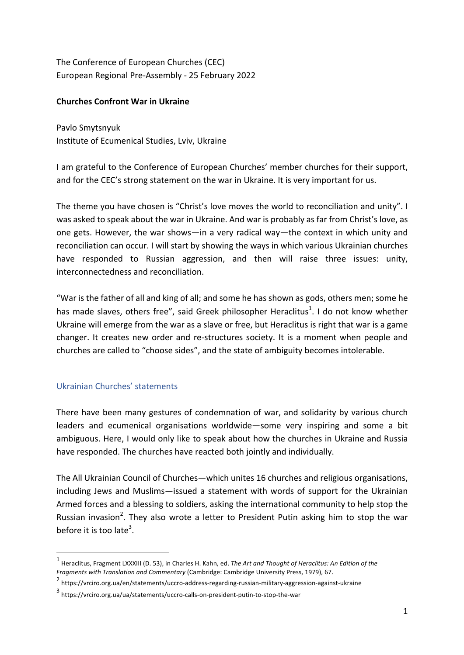The Conference of European Churches (CEC) European Regional Pre-Assembly - 25 February 2022

## **Churches Confront War in Ukraine**

Pavlo Smytsnyuk Institute of Ecumenical Studies, Lviv, Ukraine

I am grateful to the Conference of European Churches' member churches for their support, and for the CEC's strong statement on the war in Ukraine. It is very important for us.

The theme you have chosen is "Christ's love moves the world to reconciliation and unity". I was asked to speak about the war in Ukraine. And war is probably as far from Christ's love, as one gets. However, the war shows—in a very radical way—the context in which unity and reconciliation can occur. I will start by showing the ways in which various Ukrainian churches have responded to Russian aggression, and then will raise three issues: unity, interconnectedness and reconciliation.

"War is the father of all and king of all; and some he has shown as gods, others men; some he has made slaves, others free", said Greek philosopher Heraclitus<sup>1</sup>. I do not know whether Ukraine will emerge from the war as a slave or free, but Heraclitus is right that war is a game changer. It creates new order and re-structures society. It is a moment when people and churches are called to "choose sides", and the state of ambiguity becomes intolerable.

# Ukrainian Churches' statements

 

There have been many gestures of condemnation of war, and solidarity by various church leaders and ecumenical organisations worldwide—some very inspiring and some a bit ambiguous. Here, I would only like to speak about how the churches in Ukraine and Russia have responded. The churches have reacted both jointly and individually.

The All Ukrainian Council of Churches—which unites 16 churches and religious organisations, including Jews and Muslims—issued a statement with words of support for the Ukrainian Armed forces and a blessing to soldiers, asking the international community to help stop the Russian invasion<sup>2</sup>. They also wrote a letter to President Putin asking him to stop the war before it is too late<sup>3</sup>.

 $1$  Heraclitus, Fragment LXXXIII (D. 53), in Charles H. Kahn, ed. The Art and Thought of Heraclitus: An Edition of the Fragments with Translation and Commentary (Cambridge: Cambridge University Press, 1979), 67.

<sup>2</sup> https://vrciro.org.ua/en/statements/uccro-address-regarding-russian-military-aggression-against-ukraine

<sup>3</sup> https://vrciro.org.ua/ua/statements/uccro-calls-on-president-putin-to-stop-the-war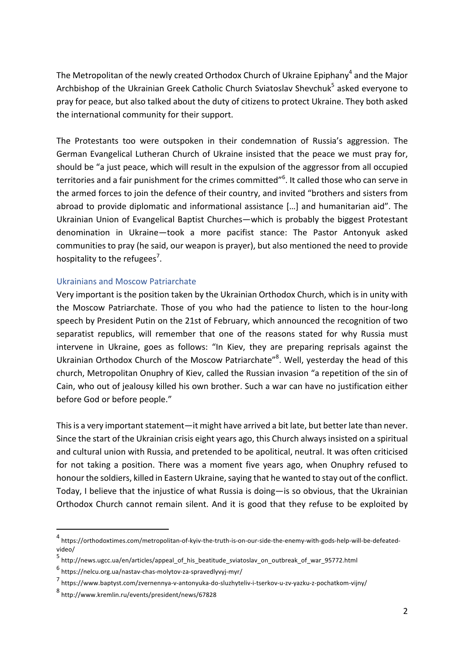The Metropolitan of the newly created Orthodox Church of Ukraine Epiphany<sup>4</sup> and the Major Archbishop of the Ukrainian Greek Catholic Church Sviatoslav Shevchuk<sup>5</sup> asked everyone to pray for peace, but also talked about the duty of citizens to protect Ukraine. They both asked the international community for their support.

The Protestants too were outspoken in their condemnation of Russia's aggression. The German Evangelical Lutheran Church of Ukraine insisted that the peace we must pray for, should be "a just peace, which will result in the expulsion of the aggressor from all occupied territories and a fair punishment for the crimes committed $^{\prime\prime}$ 6. It called those who can serve in the armed forces to join the defence of their country, and invited "brothers and sisters from abroad to provide diplomatic and informational assistance [...] and humanitarian aid". The Ukrainian Union of Evangelical Baptist Churches—which is probably the biggest Protestant denomination in Ukraine—took a more pacifist stance: The Pastor Antonyuk asked communities to pray (he said, our weapon is prayer), but also mentioned the need to provide hospitality to the refugees<sup>7</sup>.

### Ukrainians and Moscow Patriarchate

Very important is the position taken by the Ukrainian Orthodox Church, which is in unity with the Moscow Patriarchate. Those of you who had the patience to listen to the hour-long speech by President Putin on the 21st of February, which announced the recognition of two separatist republics, will remember that one of the reasons stated for why Russia must intervene in Ukraine, goes as follows: "In Kiev, they are preparing reprisals against the Ukrainian Orthodox Church of the Moscow Patriarchate"<sup>8</sup>. Well, yesterday the head of this church, Metropolitan Onuphry of Kiev, called the Russian invasion "a repetition of the sin of Cain, who out of jealousy killed his own brother. Such a war can have no justification either before God or before people."

This is a very important statement—it might have arrived a bit late, but better late than never. Since the start of the Ukrainian crisis eight years ago, this Church always insisted on a spiritual and cultural union with Russia, and pretended to be apolitical, neutral. It was often criticised for not taking a position. There was a moment five years ago, when Onuphry refused to honour the soldiers, killed in Eastern Ukraine, saying that he wanted to stay out of the conflict. Today, I believe that the injustice of what Russia is doing—is so obvious, that the Ukrainian Orthodox Church cannot remain silent. And it is good that they refuse to be exploited by

 

<sup>4</sup> https://orthodoxtimes.com/metropolitan-of-kyiv-the-truth-is-on-our-side-the-enemy-with-gods-help-will-be-defeatedvideo/

<sup>5</sup> http://news.ugcc.ua/en/articles/appeal\_of\_his\_beatitude\_sviatoslav\_on\_outbreak\_of\_war\_95772.html

<sup>6</sup> https://nelcu.org.ua/nastav-chas-molytov-za-spravedlyvyj-myr/

<sup>7</sup> https://www.baptyst.com/zvernennya-v-antonyuka-do-sluzhyteliv-i-tserkov-u-zv-yazku-z-pochatkom-vijny/

<sup>8</sup> http://www.kremlin.ru/events/president/news/67828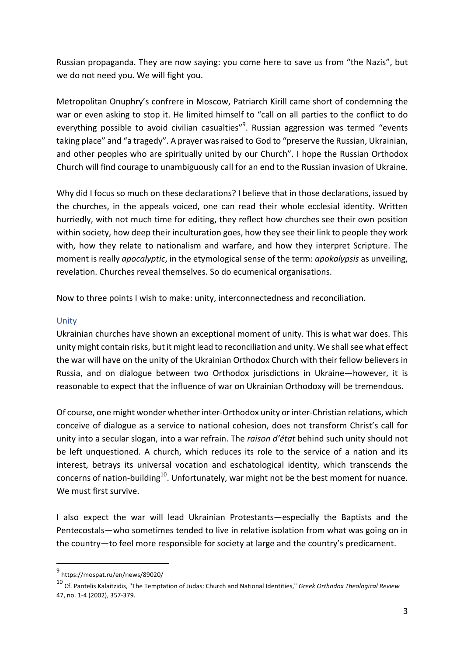Russian propaganda. They are now saying: you come here to save us from "the Nazis", but we do not need you. We will fight you.

Metropolitan Onuphry's confrere in Moscow, Patriarch Kirill came short of condemning the war or even asking to stop it. He limited himself to "call on all parties to the conflict to do everything possible to avoid civilian casualties"<sup>9</sup>. Russian aggression was termed "events taking place" and "a tragedy". A prayer was raised to God to "preserve the Russian, Ukrainian, and other peoples who are spiritually united by our Church". I hope the Russian Orthodox Church will find courage to unambiguously call for an end to the Russian invasion of Ukraine.

Why did I focus so much on these declarations? I believe that in those declarations, issued by the churches, in the appeals voiced, one can read their whole ecclesial identity. Written hurriedly, with not much time for editing, they reflect how churches see their own position within society, how deep their inculturation goes, how they see their link to people they work with, how they relate to nationalism and warfare, and how they interpret Scripture. The moment is really *apocalyptic*, in the etymological sense of the term: *apokalypsis* as unveiling, revelation. Churches reveal themselves. So do ecumenical organisations.

Now to three points I wish to make: unity, interconnectedness and reconciliation.

## Unity

Ukrainian churches have shown an exceptional moment of unity. This is what war does. This unity might contain risks, but it might lead to reconciliation and unity. We shall see what effect the war will have on the unity of the Ukrainian Orthodox Church with their fellow believers in Russia, and on dialogue between two Orthodox jurisdictions in Ukraine-however, it is reasonable to expect that the influence of war on Ukrainian Orthodoxy will be tremendous.

Of course, one might wonder whether inter-Orthodox unity or inter-Christian relations, which conceive of dialogue as a service to national cohesion, does not transform Christ's call for unity into a secular slogan, into a war refrain. The *raison d'état* behind such unity should not be left unquestioned. A church, which reduces its role to the service of a nation and its interest, betrays its universal vocation and eschatological identity, which transcends the concerns of nation-building<sup>10</sup>. Unfortunately, war might not be the best moment for nuance. We must first survive.

I also expect the war will lead Ukrainian Protestants—especially the Baptists and the Pentecostals—who sometimes tended to live in relative isolation from what was going on in the country—to feel more responsible for society at large and the country's predicament.

 <sup>9</sup> https://mospat.ru/en/news/89020/

<sup>10</sup> Cf. Pantelis Kalaitzidis, "The Temptation of Judas: Church and National Identities," Greek Orthodox Theological Review 47, no. 1-4 (2002), 357-379.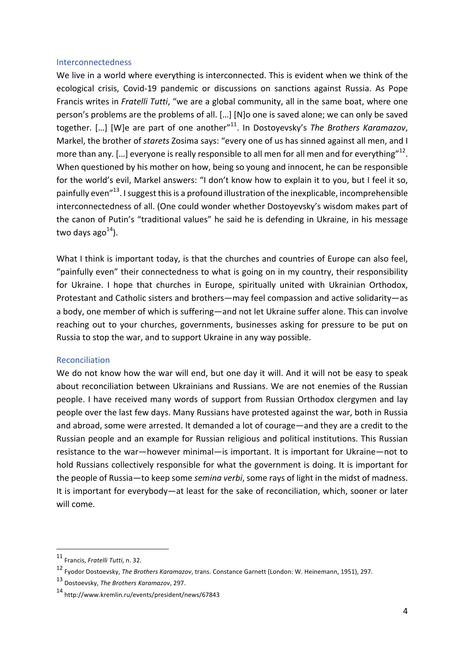### Interconnectedness

We live in a world where everything is interconnected. This is evident when we think of the ecological crisis, Covid-19 pandemic or discussions on sanctions against Russia. As Pope Francis writes in *Fratelli Tutti*, "we are a global community, all in the same boat, where one person's problems are the problems of all. [...] [N]o one is saved alone; we can only be saved together. [...] [W]e are part of one another<sup>"11</sup>. In Dostoyevsky's *The Brothers Karamazov*, Markel, the brother of *starets* Zosima says: "every one of us has sinned against all men, and I more than any. [...] everyone is really responsible to all men for all men and for everything"<sup>12</sup>. When questioned by his mother on how, being so young and innocent, he can be responsible for the world's evil, Markel answers: "I don't know how to explain it to you, but I feel it so, painfully even<sup>"13</sup>. I suggest this is a profound illustration of the inexplicable, incomprehensible interconnectedness of all. (One could wonder whether Dostoyevsky's wisdom makes part of the canon of Putin's "traditional values" he said he is defending in Ukraine, in his message two days ago $^{14}$ ).

What I think is important today, is that the churches and countries of Europe can also feel, "painfully even" their connectedness to what is going on in my country, their responsibility for Ukraine. I hope that churches in Europe, spiritually united with Ukrainian Orthodox, Protestant and Catholic sisters and brothers—may feel compassion and active solidarity—as a body, one member of which is suffering—and not let Ukraine suffer alone. This can involve reaching out to your churches, governments, businesses asking for pressure to be put on Russia to stop the war, and to support Ukraine in any way possible.

#### Reconciliation

We do not know how the war will end, but one day it will. And it will not be easy to speak about reconciliation between Ukrainians and Russians. We are not enemies of the Russian people. I have received many words of support from Russian Orthodox clergymen and lay people over the last few days. Many Russians have protested against the war, both in Russia and abroad, some were arrested. It demanded a lot of courage—and they are a credit to the Russian people and an example for Russian religious and political institutions. This Russian resistance to the war—however minimal—is important. It is important for Ukraine—not to hold Russians collectively responsible for what the government is doing. It is important for the people of Russia—to keep some *semina verbi*, some rays of light in the midst of madness. It is important for everybody—at least for the sake of reconciliation, which, sooner or later will come.

 

<sup>&</sup>lt;sup>11</sup> Francis, *Fratelli Tutti*, n. 32.

<sup>12&</sup>lt;br>Fyodor Dostoevsky, *The Brothers Karamazov*, trans. Constance Garnett (London: W. Heinemann, 1951), 297.

<sup>13</sup> Dostoevsky, *The Brothers Karamazov*, 297.

<sup>14</sup> http://www.kremlin.ru/events/president/news/67843